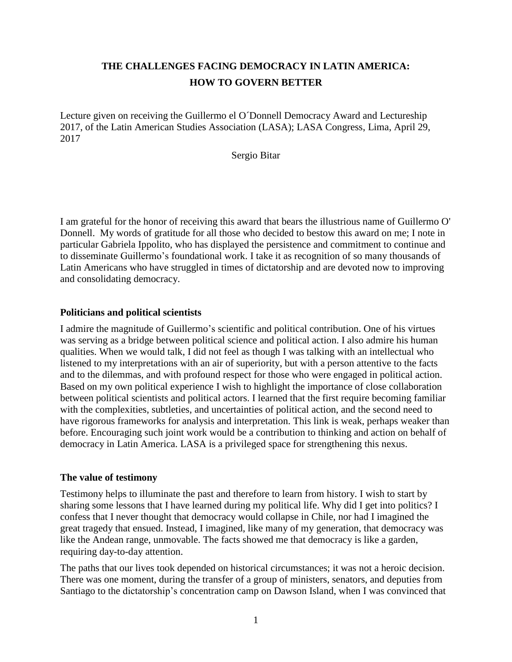# **THE CHALLENGES FACING DEMOCRACY IN LATIN AMERICA: HOW TO GOVERN BETTER**

Lecture given on receiving the Guillermo el O´Donnell Democracy Award and Lectureship 2017, of the Latin American Studies Association (LASA); LASA Congress, Lima, April 29, 2017

Sergio Bitar

I am grateful for the honor of receiving this award that bears the illustrious name of Guillermo O' Donnell. My words of gratitude for all those who decided to bestow this award on me; I note in particular Gabriela Ippolito, who has displayed the persistence and commitment to continue and to disseminate Guillermo's foundational work. I take it as recognition of so many thousands of Latin Americans who have struggled in times of dictatorship and are devoted now to improving and consolidating democracy.

## **Politicians and political scientists**

I admire the magnitude of Guillermo's scientific and political contribution. One of his virtues was serving as a bridge between political science and political action. I also admire his human qualities. When we would talk, I did not feel as though I was talking with an intellectual who listened to my interpretations with an air of superiority, but with a person attentive to the facts and to the dilemmas, and with profound respect for those who were engaged in political action. Based on my own political experience I wish to highlight the importance of close collaboration between political scientists and political actors. I learned that the first require becoming familiar with the complexities, subtleties, and uncertainties of political action, and the second need to have rigorous frameworks for analysis and interpretation. This link is weak, perhaps weaker than before. Encouraging such joint work would be a contribution to thinking and action on behalf of democracy in Latin America. LASA is a privileged space for strengthening this nexus.

#### **The value of testimony**

Testimony helps to illuminate the past and therefore to learn from history. I wish to start by sharing some lessons that I have learned during my political life. Why did I get into politics? I confess that I never thought that democracy would collapse in Chile, nor had I imagined the great tragedy that ensued. Instead, I imagined, like many of my generation, that democracy was like the Andean range, unmovable. The facts showed me that democracy is like a garden, requiring day-to-day attention.

The paths that our lives took depended on historical circumstances; it was not a heroic decision. There was one moment, during the transfer of a group of ministers, senators, and deputies from Santiago to the dictatorship's concentration camp on Dawson Island, when I was convinced that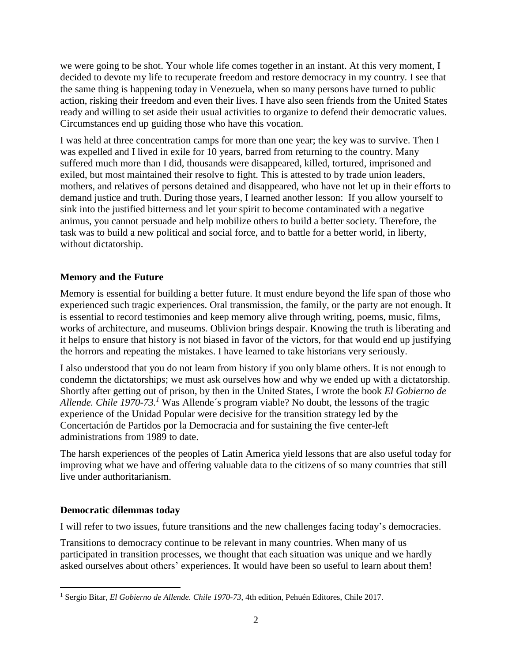we were going to be shot. Your whole life comes together in an instant. At this very moment, I decided to devote my life to recuperate freedom and restore democracy in my country. I see that the same thing is happening today in Venezuela, when so many persons have turned to public action, risking their freedom and even their lives. I have also seen friends from the United States ready and willing to set aside their usual activities to organize to defend their democratic values. Circumstances end up guiding those who have this vocation.

I was held at three concentration camps for more than one year; the key was to survive. Then I was expelled and I lived in exile for 10 years, barred from returning to the country. Many suffered much more than I did, thousands were disappeared, killed, tortured, imprisoned and exiled, but most maintained their resolve to fight. This is attested to by trade union leaders, mothers, and relatives of persons detained and disappeared, who have not let up in their efforts to demand justice and truth. During those years, I learned another lesson: If you allow yourself to sink into the justified bitterness and let your spirit to become contaminated with a negative animus, you cannot persuade and help mobilize others to build a better society. Therefore, the task was to build a new political and social force, and to battle for a better world, in liberty, without dictatorship.

# **Memory and the Future**

Memory is essential for building a better future. It must endure beyond the life span of those who experienced such tragic experiences. Oral transmission, the family, or the party are not enough. It is essential to record testimonies and keep memory alive through writing, poems, music, films, works of architecture, and museums. Oblivion brings despair. Knowing the truth is liberating and it helps to ensure that history is not biased in favor of the victors, for that would end up justifying the horrors and repeating the mistakes. I have learned to take historians very seriously.

I also understood that you do not learn from history if you only blame others. It is not enough to condemn the dictatorships; we must ask ourselves how and why we ended up with a dictatorship. Shortly after getting out of prison, by then in the United States, I wrote the book *El Gobierno de Allende. Chile 1970-73. <sup>1</sup>* Was Allende´s program viable? No doubt, the lessons of the tragic experience of the Unidad Popular were decisive for the transition strategy led by the Concertación de Partidos por la Democracia and for sustaining the five center-left administrations from 1989 to date.

The harsh experiences of the peoples of Latin America yield lessons that are also useful today for improving what we have and offering valuable data to the citizens of so many countries that still live under authoritarianism.

#### **Democratic dilemmas today**

 $\overline{a}$ 

I will refer to two issues, future transitions and the new challenges facing today's democracies.

Transitions to democracy continue to be relevant in many countries. When many of us participated in transition processes, we thought that each situation was unique and we hardly asked ourselves about others' experiences. It would have been so useful to learn about them!

<sup>1</sup> Sergio Bitar, *El Gobierno de Allende. Chile 1970-73*, 4th edition, Pehuén Editores, Chile 2017.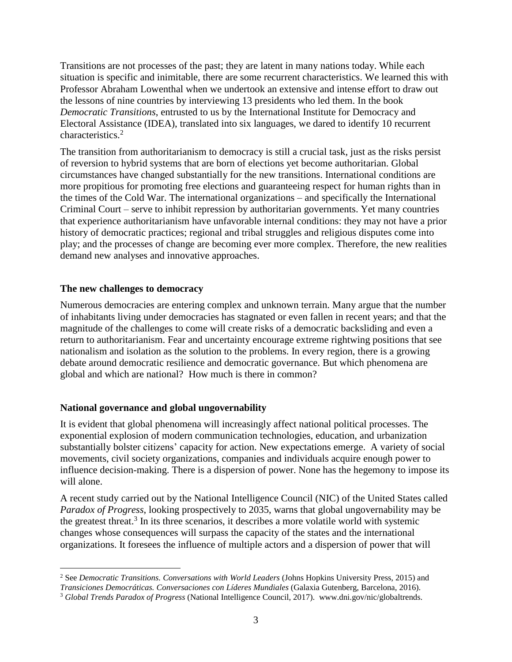Transitions are not processes of the past; they are latent in many nations today. While each situation is specific and inimitable, there are some recurrent characteristics. We learned this with Professor Abraham Lowenthal when we undertook an extensive and intense effort to draw out the lessons of nine countries by interviewing 13 presidents who led them. In the book *Democratic Transitions*, entrusted to us by the International Institute for Democracy and Electoral Assistance (IDEA), translated into six languages, we dared to identify 10 recurrent characteristics. 2

The transition from authoritarianism to democracy is still a crucial task, just as the risks persist of reversion to hybrid systems that are born of elections yet become authoritarian. Global circumstances have changed substantially for the new transitions. International conditions are more propitious for promoting free elections and guaranteeing respect for human rights than in the times of the Cold War. The international organizations – and specifically the International Criminal Court – serve to inhibit repression by authoritarian governments. Yet many countries that experience authoritarianism have unfavorable internal conditions: they may not have a prior history of democratic practices; regional and tribal struggles and religious disputes come into play; and the processes of change are becoming ever more complex. Therefore, the new realities demand new analyses and innovative approaches.

## **The new challenges to democracy**

Numerous democracies are entering complex and unknown terrain. Many argue that the number of inhabitants living under democracies has stagnated or even fallen in recent years; and that the magnitude of the challenges to come will create risks of a democratic backsliding and even a return to authoritarianism. Fear and uncertainty encourage extreme rightwing positions that see nationalism and isolation as the solution to the problems. In every region, there is a growing debate around democratic resilience and democratic governance. But which phenomena are global and which are national? How much is there in common?

# **National governance and global ungovernability**

It is evident that global phenomena will increasingly affect national political processes. The exponential explosion of modern communication technologies, education, and urbanization substantially bolster citizens' capacity for action. New expectations emerge. A variety of social movements, civil society organizations, companies and individuals acquire enough power to influence decision-making. There is a dispersion of power. None has the hegemony to impose its will alone.

A recent study carried out by the National Intelligence Council (NIC) of the United States called *Paradox of Progress*, looking prospectively to 2035, warns that global ungovernability may be the greatest threat.<sup>3</sup> In its three scenarios, it describes a more volatile world with systemic changes whose consequences will surpass the capacity of the states and the international organizations. It foresees the influence of multiple actors and a dispersion of power that will

 $\overline{a}$ <sup>2</sup> See *Democratic Transitions. Conversations with World Leaders* (Johns Hopkins University Press, 2015) and *Transiciones Democráticas. Conversaciones con Líderes Mundiales* (Galaxia Gutenberg, Barcelona, 2016).

<sup>3</sup> *Global Trends Paradox of Progress* (National Intelligence Council, 2017). www.dni.gov/nic/globaltrends.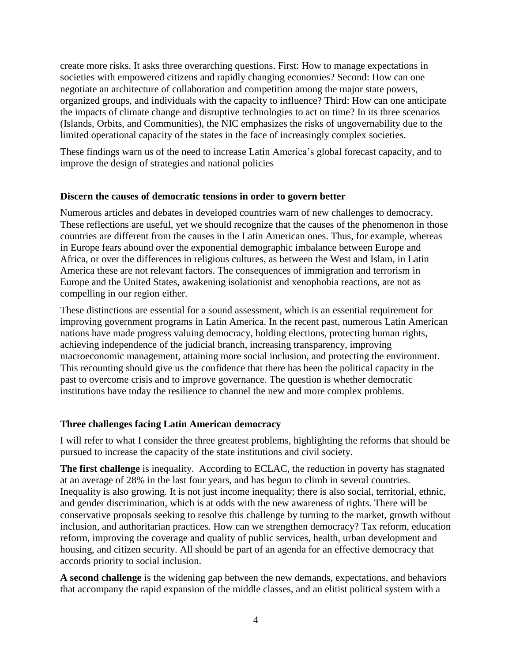create more risks. It asks three overarching questions. First: How to manage expectations in societies with empowered citizens and rapidly changing economies? Second: How can one negotiate an architecture of collaboration and competition among the major state powers, organized groups, and individuals with the capacity to influence? Third: How can one anticipate the impacts of climate change and disruptive technologies to act on time? In its three scenarios (Islands, Orbits, and Communities), the NIC emphasizes the risks of ungovernability due to the limited operational capacity of the states in the face of increasingly complex societies.

These findings warn us of the need to increase Latin America's global forecast capacity, and to improve the design of strategies and national policies

#### **Discern the causes of democratic tensions in order to govern better**

Numerous articles and debates in developed countries warn of new challenges to democracy. These reflections are useful, yet we should recognize that the causes of the phenomenon in those countries are different from the causes in the Latin American ones. Thus, for example, whereas in Europe fears abound over the exponential demographic imbalance between Europe and Africa, or over the differences in religious cultures, as between the West and Islam, in Latin America these are not relevant factors. The consequences of immigration and terrorism in Europe and the United States, awakening isolationist and xenophobia reactions, are not as compelling in our region either.

These distinctions are essential for a sound assessment, which is an essential requirement for improving government programs in Latin America. In the recent past, numerous Latin American nations have made progress valuing democracy, holding elections, protecting human rights, achieving independence of the judicial branch, increasing transparency, improving macroeconomic management, attaining more social inclusion, and protecting the environment. This recounting should give us the confidence that there has been the political capacity in the past to overcome crisis and to improve governance. The question is whether democratic institutions have today the resilience to channel the new and more complex problems.

#### **Three challenges facing Latin American democracy**

I will refer to what I consider the three greatest problems, highlighting the reforms that should be pursued to increase the capacity of the state institutions and civil society.

**The first challenge** is inequality. According to ECLAC, the reduction in poverty has stagnated at an average of 28% in the last four years, and has begun to climb in several countries. Inequality is also growing. It is not just income inequality; there is also social, territorial, ethnic, and gender discrimination, which is at odds with the new awareness of rights. There will be conservative proposals seeking to resolve this challenge by turning to the market, growth without inclusion, and authoritarian practices. How can we strengthen democracy? Tax reform, education reform, improving the coverage and quality of public services, health, urban development and housing, and citizen security. All should be part of an agenda for an effective democracy that accords priority to social inclusion.

**A second challenge** is the widening gap between the new demands, expectations, and behaviors that accompany the rapid expansion of the middle classes, and an elitist political system with a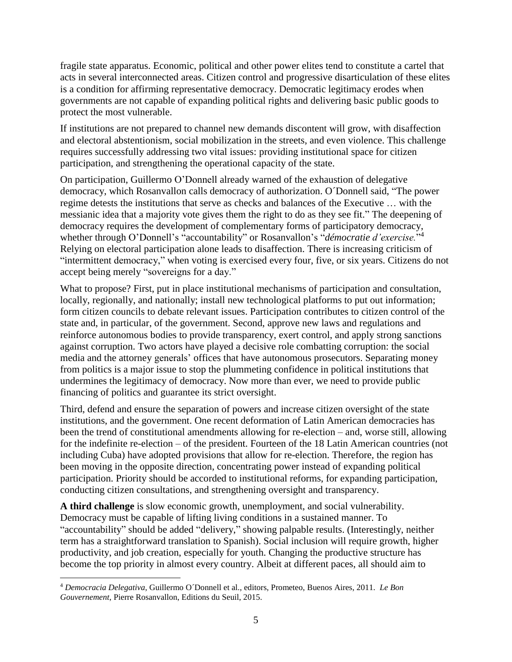fragile state apparatus. Economic, political and other power elites tend to constitute a cartel that acts in several interconnected areas. Citizen control and progressive disarticulation of these elites is a condition for affirming representative democracy. Democratic legitimacy erodes when governments are not capable of expanding political rights and delivering basic public goods to protect the most vulnerable.

If institutions are not prepared to channel new demands discontent will grow, with disaffection and electoral abstentionism, social mobilization in the streets, and even violence. This challenge requires successfully addressing two vital issues: providing institutional space for citizen participation, and strengthening the operational capacity of the state.

On participation, Guillermo O'Donnell already warned of the exhaustion of delegative democracy, which Rosanvallon calls democracy of authorization. O´Donnell said, "The power regime detests the institutions that serve as checks and balances of the Executive … with the messianic idea that a majority vote gives them the right to do as they see fit." The deepening of democracy requires the development of complementary forms of participatory democracy, whether through O'Donnell's "accountability" or Rosanvallon's "*démocratie d'exercise.*" 4 Relying on electoral participation alone leads to disaffection. There is increasing criticism of "intermittent democracy," when voting is exercised every four, five, or six years. Citizens do not accept being merely "sovereigns for a day."

What to propose? First, put in place institutional mechanisms of participation and consultation, locally, regionally, and nationally; install new technological platforms to put out information; form citizen councils to debate relevant issues. Participation contributes to citizen control of the state and, in particular, of the government. Second, approve new laws and regulations and reinforce autonomous bodies to provide transparency, exert control, and apply strong sanctions against corruption. Two actors have played a decisive role combatting corruption: the social media and the attorney generals' offices that have autonomous prosecutors. Separating money from politics is a major issue to stop the plummeting confidence in political institutions that undermines the legitimacy of democracy. Now more than ever, we need to provide public financing of politics and guarantee its strict oversight.

Third, defend and ensure the separation of powers and increase citizen oversight of the state institutions, and the government. One recent deformation of Latin American democracies has been the trend of constitutional amendments allowing for re-election – and, worse still, allowing for the indefinite re-election – of the president. Fourteen of the 18 Latin American countries (not including Cuba) have adopted provisions that allow for re-election. Therefore, the region has been moving in the opposite direction, concentrating power instead of expanding political participation. Priority should be accorded to institutional reforms, for expanding participation, conducting citizen consultations, and strengthening oversight and transparency.

**A third challenge** is slow economic growth, unemployment, and social vulnerability. Democracy must be capable of lifting living conditions in a sustained manner. To "accountability" should be added "delivery," showing palpable results. (Interestingly, neither term has a straightforward translation to Spanish). Social inclusion will require growth, higher productivity, and job creation, especially for youth. Changing the productive structure has become the top priority in almost every country. Albeit at different paces, all should aim to

 $\overline{a}$ <sup>4</sup> *Democracia Delegativa*, Guillermo O´Donnell et al., editors, Prometeo, Buenos Aires, 2011*. Le Bon Gouvernement*, Pierre Rosanvallon, Editions du Seuil, 2015.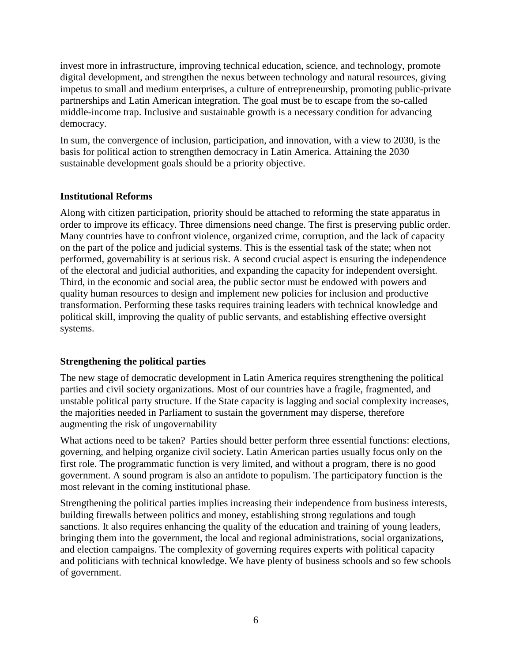invest more in infrastructure, improving technical education, science, and technology, promote digital development, and strengthen the nexus between technology and natural resources, giving impetus to small and medium enterprises, a culture of entrepreneurship, promoting public-private partnerships and Latin American integration. The goal must be to escape from the so-called middle-income trap. Inclusive and sustainable growth is a necessary condition for advancing democracy.

In sum, the convergence of inclusion, participation, and innovation, with a view to 2030, is the basis for political action to strengthen democracy in Latin America. Attaining the 2030 sustainable development goals should be a priority objective.

## **Institutional Reforms**

Along with citizen participation, priority should be attached to reforming the state apparatus in order to improve its efficacy. Three dimensions need change. The first is preserving public order. Many countries have to confront violence, organized crime, corruption, and the lack of capacity on the part of the police and judicial systems. This is the essential task of the state; when not performed, governability is at serious risk. A second crucial aspect is ensuring the independence of the electoral and judicial authorities, and expanding the capacity for independent oversight. Third, in the economic and social area, the public sector must be endowed with powers and quality human resources to design and implement new policies for inclusion and productive transformation. Performing these tasks requires training leaders with technical knowledge and political skill, improving the quality of public servants, and establishing effective oversight systems.

# **Strengthening the political parties**

The new stage of democratic development in Latin America requires strengthening the political parties and civil society organizations. Most of our countries have a fragile, fragmented, and unstable political party structure. If the State capacity is lagging and social complexity increases, the majorities needed in Parliament to sustain the government may disperse, therefore augmenting the risk of ungovernability

What actions need to be taken? Parties should better perform three essential functions: elections, governing, and helping organize civil society. Latin American parties usually focus only on the first role. The programmatic function is very limited, and without a program, there is no good government. A sound program is also an antidote to populism. The participatory function is the most relevant in the coming institutional phase.

Strengthening the political parties implies increasing their independence from business interests, building firewalls between politics and money, establishing strong regulations and tough sanctions. It also requires enhancing the quality of the education and training of young leaders, bringing them into the government, the local and regional administrations, social organizations, and election campaigns. The complexity of governing requires experts with political capacity and politicians with technical knowledge. We have plenty of business schools and so few schools of government.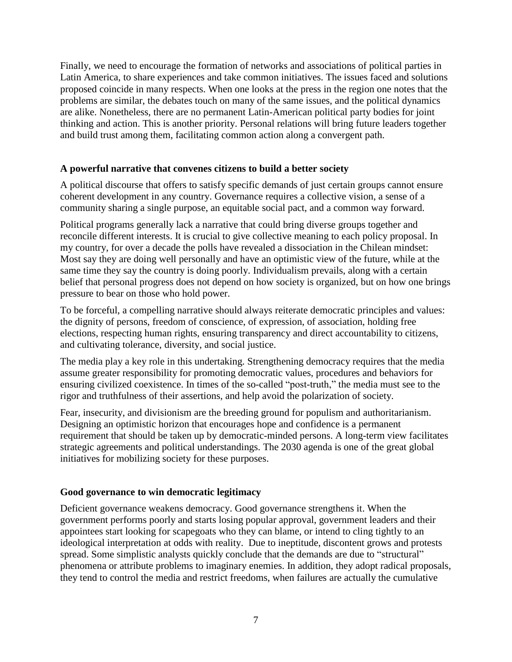Finally, we need to encourage the formation of networks and associations of political parties in Latin America, to share experiences and take common initiatives. The issues faced and solutions proposed coincide in many respects. When one looks at the press in the region one notes that the problems are similar, the debates touch on many of the same issues, and the political dynamics are alike. Nonetheless, there are no permanent Latin-American political party bodies for joint thinking and action. This is another priority. Personal relations will bring future leaders together and build trust among them, facilitating common action along a convergent path.

## **A powerful narrative that convenes citizens to build a better society**

A political discourse that offers to satisfy specific demands of just certain groups cannot ensure coherent development in any country. Governance requires a collective vision, a sense of a community sharing a single purpose, an equitable social pact, and a common way forward.

Political programs generally lack a narrative that could bring diverse groups together and reconcile different interests. It is crucial to give collective meaning to each policy proposal. In my country, for over a decade the polls have revealed a dissociation in the Chilean mindset: Most say they are doing well personally and have an optimistic view of the future, while at the same time they say the country is doing poorly. Individualism prevails, along with a certain belief that personal progress does not depend on how society is organized, but on how one brings pressure to bear on those who hold power.

To be forceful, a compelling narrative should always reiterate democratic principles and values: the dignity of persons, freedom of conscience, of expression, of association, holding free elections, respecting human rights, ensuring transparency and direct accountability to citizens, and cultivating tolerance, diversity, and social justice.

The media play a key role in this undertaking. Strengthening democracy requires that the media assume greater responsibility for promoting democratic values, procedures and behaviors for ensuring civilized coexistence. In times of the so-called "post-truth," the media must see to the rigor and truthfulness of their assertions, and help avoid the polarization of society.

Fear, insecurity, and divisionism are the breeding ground for populism and authoritarianism. Designing an optimistic horizon that encourages hope and confidence is a permanent requirement that should be taken up by democratic-minded persons. A long-term view facilitates strategic agreements and political understandings. The 2030 agenda is one of the great global initiatives for mobilizing society for these purposes.

# **Good governance to win democratic legitimacy**

Deficient governance weakens democracy. Good governance strengthens it. When the government performs poorly and starts losing popular approval, government leaders and their appointees start looking for scapegoats who they can blame, or intend to cling tightly to an ideological interpretation at odds with reality. Due to ineptitude, discontent grows and protests spread. Some simplistic analysts quickly conclude that the demands are due to "structural" phenomena or attribute problems to imaginary enemies. In addition, they adopt radical proposals, they tend to control the media and restrict freedoms, when failures are actually the cumulative